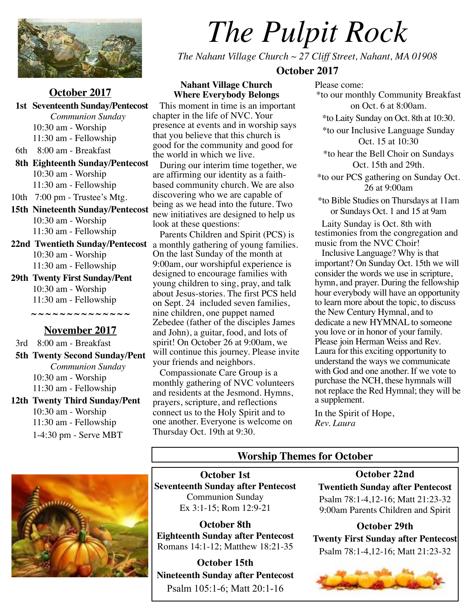

#### **October 2017**

 **1st Seventeenth Sunday/Pentecost** *Communion Sunday* 10:30 am - Worship 11:30 am - Fellowship 6th 8:00 am - Breakfast  **8th Eighteenth Sunday/Pentecost** 10:30 am - Worship 11:30 am - Fellowship 10th 7:00 pm - Trustee's Mtg. **15th Nineteenth Sunday/Pentecost** 10:30 am - Worship 11:30 am - Fellowship 10:30 am - Worship 11:30 am - Fellowship **29th Twenty First Sunday/Pent**

10:30 am - Worship 11:30 am - Fellowship

**~ ~ ~ ~ ~ ~ ~ ~ ~ ~ ~ ~ ~ ~ November 2017**

3rd 8:00 am - Breakfast

 **5th Twenty Second Sunday/Pent** *Communion Sunday* 10:30 am - Worship 11:30 am - Fellowship **12th Twenty Third Sunday/Pent**

10:30 am - Worship 11:30 am - Fellowship 1-4:30 pm - Serve MBT

# *The Pulpit Rock*

*The Nahant Village Church ~ 27 Cliff Street, Nahant, MA 01908*

#### **October 2017**

**Nahant Village Church Where Everybody Belongs**

 This moment in time is an important chapter in the life of NVC. Your presence at events and in worship says that you believe that this church is good for the community and good for the world in which we live.

 During our interim time together, we are affirming our identity as a faithbased community church. We are also discovering who we are capable of being as we head into the future. Two new initiatives are designed to help us look at these questions:

**22nd Twentieth Sunday/Pentecost** a monthly gathering of young families. Parents Children and Spirit (PCS) is On the last Sunday of the month at 9:00am, our worshipful experience is designed to encourage families with young children to sing, pray, and talk about Jesus-stories. The first PCS held on Sept. 24 included seven families, nine children, one puppet named Zebedee (father of the disciples James and John), a guitar, food, and lots of spirit! On October 26 at 9:00am, we will continue this journey. Please invite your friends and neighbors.

 Compassionate Care Group is a monthly gathering of NVC volunteers and residents at the Jesmond. Hymns, prayers, scripture, and reflections connect us to the Holy Spirit and to one another. Everyone is welcome on Thursday Oct. 19th at 9:30.

Please come: \*to our monthly Community Breakfast on Oct. 6 at 8:00am. \*to Laity Sunday on Oct. 8th at 10:30. \*to our Inclusive Language Sunday Oct. 15 at 10:30 \*to hear the Bell Choir on Sundays Oct. 15th and 29th. \*to our PCS gathering on Sunday Oct. 26 at 9:00am \*to Bible Studies on Thursdays at 11am or Sundays Oct. 1 and 15 at 9am

 Laity Sunday is Oct. 8th with testimonies from the congregation and music from the NVC Choir!

 Inclusive Language? Why is that important? On Sunday Oct. 15th we will consider the words we use in scripture, hymn, and prayer. During the fellowship hour everybody will have an opportunity to learn more about the topic, to discuss the New Century Hymnal, and to dedicate a new HYMNAL to someone you love or in honor of your family. Please join Herman Weiss and Rev. Laura for this exciting opportunity to understand the ways we communicate with God and one another. If we vote to purchase the NCH, these hymnals will not replace the Red Hymnal; they will be a supplement.

In the Spirit of Hope, *Rev. Laura*

**Worship Themes for October**

**October 1st Seventeenth Sunday after Pentecost** Communion Sunday Ex 3:1-15; Rom 12:9-21

**October 8th Eighteenth Sunday after Pentecost** Romans 14:1-12; Matthew 18:21-35

**October 15th Nineteenth Sunday after Pentecost** Psalm 105:1-6; Matt 20:1-16

**October 22nd Twentieth Sunday after Pentecost** Psalm 78:1-4,12-16; Matt 21:23-32 9:00am Parents Children and Spirit

**October 29th Twenty First Sunday after Pentecost** Psalm 78:1-4,12-16; Matt 21:23-32

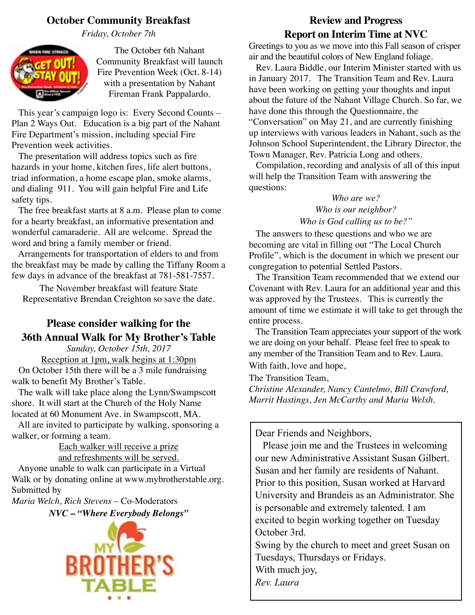# **October Community Breakfast**

*Friday, October 7th*



The October 6th Nahant Community Breakfast will launch Fire Prevention Week (Oct. 8-14) with a presentation by Nahant Fireman Frank Pappalardo.

 This year's campaign logo is: Every Second Counts – Plan 2 Ways Out. Education is a big part of the Nahant Fire Department's mission, including special Fire Prevention week activities.

 The presentation will address topics such as fire hazards in your home, kitchen fires, life alert buttons, triad information, a home escape plan, smoke alarms, and dialing 911. You will gain helpful Fire and Life safety tips.

 The free breakfast starts at 8 a.m. Please plan to come for a hearty breakfast, an informative presentation and wonderful camaraderie. All are welcome. Spread the word and bring a family member or friend.

 Arrangements for transportation of elders to and from the breakfast may be made by calling the Tiffany Room a few days in advance of the breakfast at 781-581-7557.

The November breakfast will feature State Representative Brendan Creighton so save the date.

# **Please consider walking for the 36th Annual Walk for My Brother's Table**

*Sunday, October 15th, 2017* Reception at 1pm, walk begins at 1:30pm On October 15th there will be a 3 mile fundraising walk to benefit My Brother's Table.

 The walk will take place along the Lynn/Swampscott shore. It will start at the Church of the Holy Name located at 60 Monument Ave. in Swampscott, MA.

 All are invited to participate by walking, sponsoring a walker, or forming a team.

Each walker will receive a prize and refreshments will be served.

 Anyone unable to walk can participate in a Virtual Walk or by donating online at [www.mybrotherstable.org.](http://www.mybrotherstable.org) Submitted by

*Maria Welch, Rich Stevens* – Co-Moderators

*NVC – "Where Everybody Belongs"*



# **Review and Progress Report on Interim Time at NVC**

Greetings to you as we move into this Fall season of crisper air and the beautiful colors of New England foliage.

 Rev. Laura Biddle, our Interim Minister started with us in January 2017. The Transition Team and Rev. Laura have been working on getting your thoughts and input about the future of the Nahant Village Church. So far, we have done this through the Questionnaire, the "Conversation" on May 21, and are currently finishing up interviews with various leaders in Nahant, such as the Johnson School Superintendent, the Library Director, the Town Manager, Rev. Patricia Long and others.

 Compilation, recording and analysis of all of this input will help the Transition Team with answering the questions:

### *Who are we? Who is our neighbor? Who is God calling us to be?"*

 The answers to these questions and who we are becoming are vital in filling out "The Local Church Profile", which is the document in which we present our congregation to potential Settled Pastors.

 The Transition Team recommended that we extend our Covenant with Rev. Laura for an additional year and this was approved by the Trustees. This is currently the amount of time we estimate it will take to get through the entire process.

 The Transition Team appreciates your support of the work we are doing on your behalf. Please feel free to speak to any member of the Transition Team and to Rev. Laura. With faith, love and hope,

The Transition Team,

*Christine Alexander, Nancy Cantelmo, Bill Crawford, Marrit Hastings, Jen McCarthy and Maria Welsh.*

Dear Friends and Neighbors,

 Please join me and the Trustees in welcoming our new Administrative Assistant Susan Gilbert. Susan and her family are residents of Nahant. Prior to this position, Susan worked at Harvard University and Brandeis as an Administrator. She is personable and extremely talented. I am excited to begin working together on Tuesday October 3rd.

Swing by the church to meet and greet Susan on Tuesdays, Thursdays or Fridays. With much joy,

*Rev. Laura*